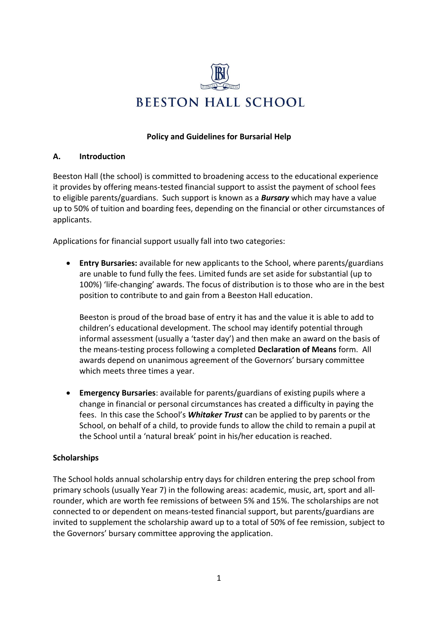

#### **Policy and Guidelines for Bursarial Help**

#### **A. Introduction**

Beeston Hall (the school) is committed to broadening access to the educational experience it provides by offering means-tested financial support to assist the payment of school fees to eligible parents/guardians. Such support is known as a *Bursary* which may have a value up to 50% of tuition and boarding fees, depending on the financial or other circumstances of applicants.

Applications for financial support usually fall into two categories:

• **Entry Bursaries:** available for new applicants to the School, where parents/guardians are unable to fund fully the fees. Limited funds are set aside for substantial (up to 100%) 'life-changing' awards. The focus of distribution is to those who are in the best position to contribute to and gain from a Beeston Hall education.

Beeston is proud of the broad base of entry it has and the value it is able to add to children's educational development. The school may identify potential through informal assessment (usually a 'taster day') and then make an award on the basis of the means-testing process following a completed **Declaration of Means** form. All awards depend on unanimous agreement of the Governors' bursary committee which meets three times a year.

• **Emergency Bursaries**: available for parents/guardians of existing pupils where a change in financial or personal circumstances has created a difficulty in paying the fees. In this case the School's *Whitaker Trust* can be applied to by parents or the School, on behalf of a child, to provide funds to allow the child to remain a pupil at the School until a 'natural break' point in his/her education is reached.

## **Scholarships**

The School holds annual scholarship entry days for children entering the prep school from primary schools (usually Year 7) in the following areas: academic, music, art, sport and allrounder, which are worth fee remissions of between 5% and 15%. The scholarships are not connected to or dependent on means-tested financial support, but parents/guardians are invited to supplement the scholarship award up to a total of 50% of fee remission, subject to the Governors' bursary committee approving the application.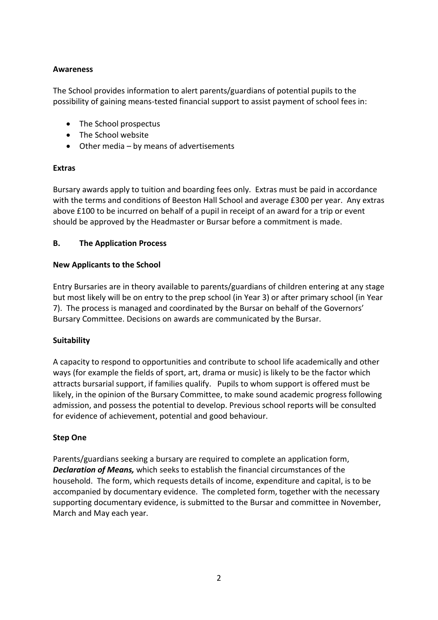## **Awareness**

The School provides information to alert parents/guardians of potential pupils to the possibility of gaining means-tested financial support to assist payment of school fees in:

- The School prospectus
- The School website
- Other media by means of advertisements

## **Extras**

Bursary awards apply to tuition and boarding fees only. Extras must be paid in accordance with the terms and conditions of Beeston Hall School and average £300 per year. Any extras above £100 to be incurred on behalf of a pupil in receipt of an award for a trip or event should be approved by the Headmaster or Bursar before a commitment is made.

## **B. The Application Process**

### **New Applicants to the School**

Entry Bursaries are in theory available to parents/guardians of children entering at any stage but most likely will be on entry to the prep school (in Year 3) or after primary school (in Year 7). The process is managed and coordinated by the Bursar on behalf of the Governors' Bursary Committee. Decisions on awards are communicated by the Bursar.

## **Suitability**

A capacity to respond to opportunities and contribute to school life academically and other ways (for example the fields of sport, art, drama or music) is likely to be the factor which attracts bursarial support, if families qualify. Pupils to whom support is offered must be likely, in the opinion of the Bursary Committee, to make sound academic progress following admission, and possess the potential to develop. Previous school reports will be consulted for evidence of achievement, potential and good behaviour.

## **Step One**

Parents/guardians seeking a bursary are required to complete an application form, *Declaration of Means,* which seeks to establish the financial circumstances of the household. The form, which requests details of income, expenditure and capital, is to be accompanied by documentary evidence. The completed form, together with the necessary supporting documentary evidence, is submitted to the Bursar and committee in November, March and May each year.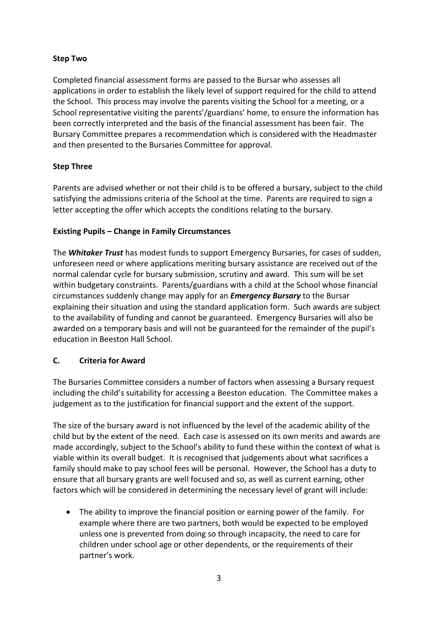# **Step Two**

Completed financial assessment forms are passed to the Bursar who assesses all applications in order to establish the likely level of support required for the child to attend the School. This process may involve the parents visiting the School for a meeting, or a School representative visiting the parents'/guardians' home, to ensure the information has been correctly interpreted and the basis of the financial assessment has been fair. The Bursary Committee prepares a recommendation which is considered with the Headmaster and then presented to the Bursaries Committee for approval.

# **Step Three**

Parents are advised whether or not their child is to be offered a bursary, subject to the child satisfying the admissions criteria of the School at the time. Parents are required to sign a letter accepting the offer which accepts the conditions relating to the bursary.

## **Existing Pupils – Change in Family Circumstances**

The *Whitaker Trust* has modest funds to support Emergency Bursaries, for cases of sudden, unforeseen need or where applications meriting bursary assistance are received out of the normal calendar cycle for bursary submission, scrutiny and award. This sum will be set within budgetary constraints. Parents/guardians with a child at the School whose financial circumstances suddenly change may apply for an *Emergency Bursary* to the Bursar explaining their situation and using the standard application form. Such awards are subject to the availability of funding and cannot be guaranteed. Emergency Bursaries will also be awarded on a temporary basis and will not be guaranteed for the remainder of the pupil's education in Beeston Hall School.

## **C. Criteria for Award**

The Bursaries Committee considers a number of factors when assessing a Bursary request including the child's suitability for accessing a Beeston education. The Committee makes a judgement as to the justification for financial support and the extent of the support.

The size of the bursary award is not influenced by the level of the academic ability of the child but by the extent of the need. Each case is assessed on its own merits and awards are made accordingly, subject to the School's ability to fund these within the context of what is viable within its overall budget. It is recognised that judgements about what sacrifices a family should make to pay school fees will be personal. However, the School has a duty to ensure that all bursary grants are well focused and so, as well as current earning, other factors which will be considered in determining the necessary level of grant will include:

• The ability to improve the financial position or earning power of the family. For example where there are two partners, both would be expected to be employed unless one is prevented from doing so through incapacity, the need to care for children under school age or other dependents, or the requirements of their partner's work.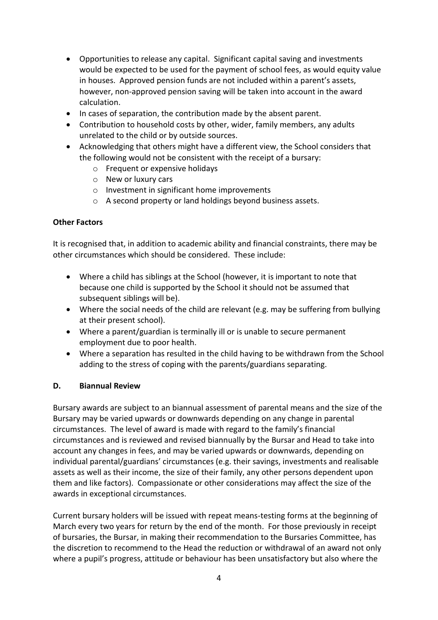- Opportunities to release any capital. Significant capital saving and investments would be expected to be used for the payment of school fees, as would equity value in houses. Approved pension funds are not included within a parent's assets, however, non-approved pension saving will be taken into account in the award calculation.
- In cases of separation, the contribution made by the absent parent.
- Contribution to household costs by other, wider, family members, any adults unrelated to the child or by outside sources.
- Acknowledging that others might have a different view, the School considers that the following would not be consistent with the receipt of a bursary:
	- o Frequent or expensive holidays
	- o New or luxury cars
	- o Investment in significant home improvements
	- o A second property or land holdings beyond business assets.

## **Other Factors**

It is recognised that, in addition to academic ability and financial constraints, there may be other circumstances which should be considered. These include:

- Where a child has siblings at the School (however, it is important to note that because one child is supported by the School it should not be assumed that subsequent siblings will be).
- Where the social needs of the child are relevant (e.g. may be suffering from bullying at their present school).
- Where a parent/guardian is terminally ill or is unable to secure permanent employment due to poor health.
- Where a separation has resulted in the child having to be withdrawn from the School adding to the stress of coping with the parents/guardians separating.

## **D. Biannual Review**

Bursary awards are subject to an biannual assessment of parental means and the size of the Bursary may be varied upwards or downwards depending on any change in parental circumstances. The level of award is made with regard to the family's financial circumstances and is reviewed and revised biannually by the Bursar and Head to take into account any changes in fees, and may be varied upwards or downwards, depending on individual parental/guardians' circumstances (e.g. their savings, investments and realisable assets as well as their income, the size of their family, any other persons dependent upon them and like factors). Compassionate or other considerations may affect the size of the awards in exceptional circumstances.

Current bursary holders will be issued with repeat means-testing forms at the beginning of March every two years for return by the end of the month. For those previously in receipt of bursaries, the Bursar, in making their recommendation to the Bursaries Committee, has the discretion to recommend to the Head the reduction or withdrawal of an award not only where a pupil's progress, attitude or behaviour has been unsatisfactory but also where the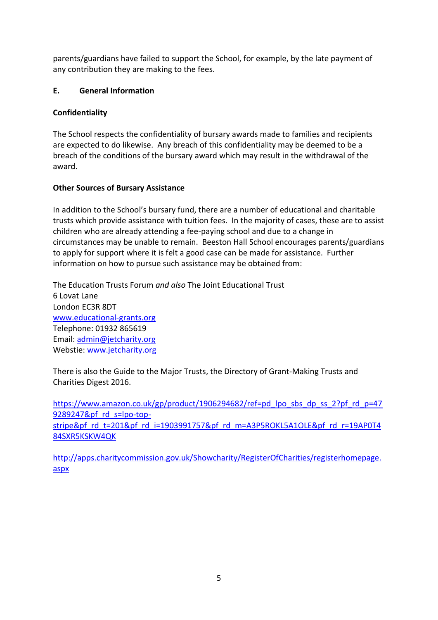parents/guardians have failed to support the School, for example, by the late payment of any contribution they are making to the fees.

# **E. General Information**

# **Confidentiality**

The School respects the confidentiality of bursary awards made to families and recipients are expected to do likewise. Any breach of this confidentiality may be deemed to be a breach of the conditions of the bursary award which may result in the withdrawal of the award.

# **Other Sources of Bursary Assistance**

In addition to the School's bursary fund, there are a number of educational and charitable trusts which provide assistance with tuition fees. In the majority of cases, these are to assist children who are already attending a fee-paying school and due to a change in circumstances may be unable to remain. Beeston Hall School encourages parents/guardians to apply for support where it is felt a good case can be made for assistance. Further information on how to pursue such assistance may be obtained from:

The Education Trusts Forum *and also* The Joint Educational Trust 6 Lovat Lane London EC3R 8DT [www.educational-grants.org](http://www.educational-grants.org/) Telephone: 01932 865619 Email: [admin@jetcharity.org](mailto:admin@jetcharity.org) Webstie: [www.jetcharity.org](http://www.jetcharity.org/) 

There is also the Guide to the Major Trusts[, the Directory of Grant-Making Trusts](http://www.amazon.co.uk/exec/obidos/ASIN/1906294569/thegoodschoolsgu) and [Charities Digest 2016.](http://www.amazon.co.uk/exec/obidos/ASIN/1857831993/thegoodschoolsgu)

[https://www.amazon.co.uk/gp/product/1906294682/ref=pd\\_lpo\\_sbs\\_dp\\_ss\\_2?pf\\_rd\\_p=47](https://www.amazon.co.uk/gp/product/1906294682/ref=pd_lpo_sbs_dp_ss_2?pf_rd_p=479289247&pf_rd_s=lpo-top-stripe&pf_rd_t=201&pf_rd_i=1903991757&pf_rd_m=A3P5ROKL5A1OLE&pf_rd_r=19AP0T484SXR5KSKW4QK) [9289247&pf\\_rd\\_s=lpo-top](https://www.amazon.co.uk/gp/product/1906294682/ref=pd_lpo_sbs_dp_ss_2?pf_rd_p=479289247&pf_rd_s=lpo-top-stripe&pf_rd_t=201&pf_rd_i=1903991757&pf_rd_m=A3P5ROKL5A1OLE&pf_rd_r=19AP0T484SXR5KSKW4QK)[stripe&pf\\_rd\\_t=201&pf\\_rd\\_i=1903991757&pf\\_rd\\_m=A3P5ROKL5A1OLE&pf\\_rd\\_r=19AP0T4](https://www.amazon.co.uk/gp/product/1906294682/ref=pd_lpo_sbs_dp_ss_2?pf_rd_p=479289247&pf_rd_s=lpo-top-stripe&pf_rd_t=201&pf_rd_i=1903991757&pf_rd_m=A3P5ROKL5A1OLE&pf_rd_r=19AP0T484SXR5KSKW4QK) [84SXR5KSKW4QK](https://www.amazon.co.uk/gp/product/1906294682/ref=pd_lpo_sbs_dp_ss_2?pf_rd_p=479289247&pf_rd_s=lpo-top-stripe&pf_rd_t=201&pf_rd_i=1903991757&pf_rd_m=A3P5ROKL5A1OLE&pf_rd_r=19AP0T484SXR5KSKW4QK)

[http://apps.charitycommission.gov.uk/Showcharity/RegisterOfCharities/registerhomepage.](http://apps.charitycommission.gov.uk/Showcharity/RegisterOfCharities/registerhomepage.aspx) [aspx](http://apps.charitycommission.gov.uk/Showcharity/RegisterOfCharities/registerhomepage.aspx)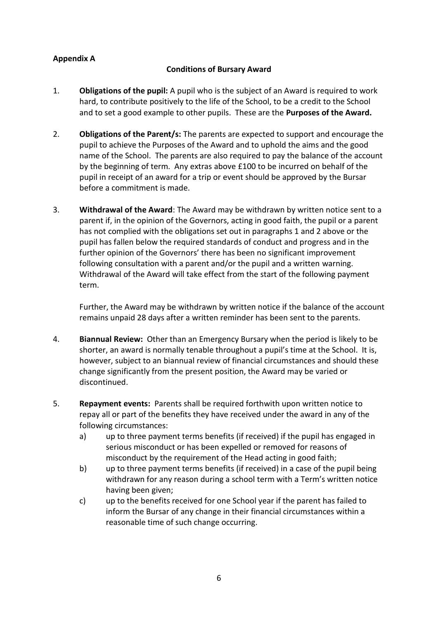# **Appendix A**

### **Conditions of Bursary Award**

- 1. **Obligations of the pupil:** A pupil who is the subject of an Award is required to work hard, to contribute positively to the life of the School, to be a credit to the School and to set a good example to other pupils. These are the **Purposes of the Award.**
- 2. **Obligations of the Parent/s:** The parents are expected to support and encourage the pupil to achieve the Purposes of the Award and to uphold the aims and the good name of the School. The parents are also required to pay the balance of the account by the beginning of term. Any extras above £100 to be incurred on behalf of the pupil in receipt of an award for a trip or event should be approved by the Bursar before a commitment is made.
- 3. **Withdrawal of the Award**: The Award may be withdrawn by written notice sent to a parent if, in the opinion of the Governors, acting in good faith, the pupil or a parent has not complied with the obligations set out in paragraphs 1 and 2 above or the pupil has fallen below the required standards of conduct and progress and in the further opinion of the Governors' there has been no significant improvement following consultation with a parent and/or the pupil and a written warning. Withdrawal of the Award will take effect from the start of the following payment term.

 Further, the Award may be withdrawn by written notice if the balance of the account remains unpaid 28 days after a written reminder has been sent to the parents.

- 4. **Biannual Review:** Other than an Emergency Bursary when the period is likely to be shorter, an award is normally tenable throughout a pupil's time at the School. It is, however, subject to an biannual review of financial circumstances and should these change significantly from the present position, the Award may be varied or discontinued.
- 5. **Repayment events:** Parents shall be required forthwith upon written notice to repay all or part of the benefits they have received under the award in any of the following circumstances:
	- a) up to three payment terms benefits (if received) if the pupil has engaged in serious misconduct or has been expelled or removed for reasons of misconduct by the requirement of the Head acting in good faith;
	- b) up to three payment terms benefits (if received) in a case of the pupil being withdrawn for any reason during a school term with a Term's written notice having been given;
	- c) up to the benefits received for one School year if the parent has failed to inform the Bursar of any change in their financial circumstances within a reasonable time of such change occurring.